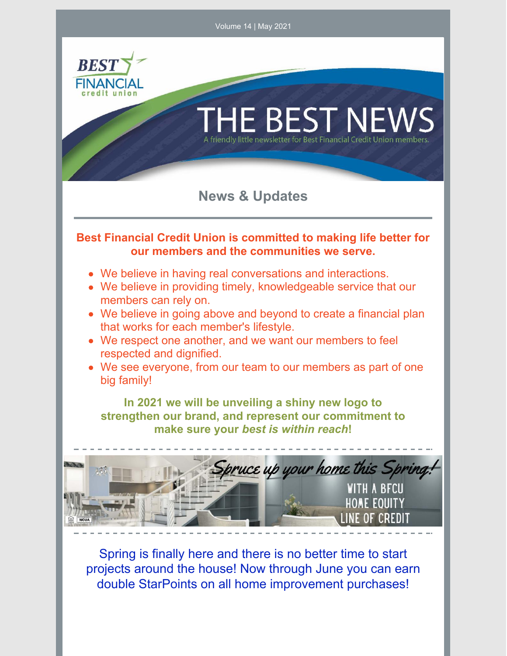

projects around the house! Now through June you can earn double StarPoints on all home improvement purchases!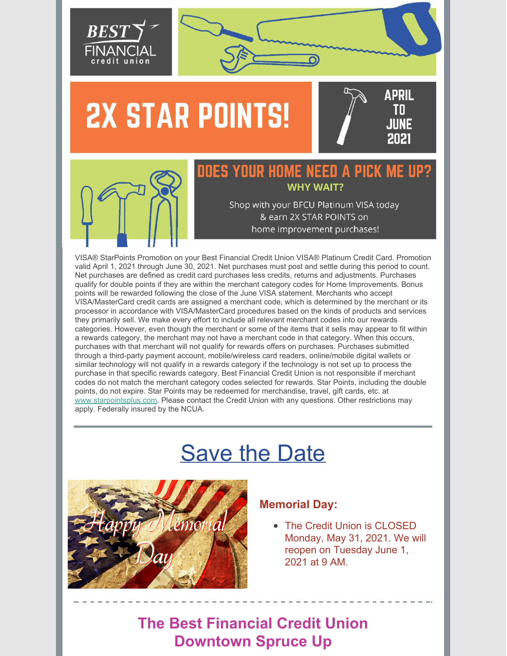

# **2X STAR POINTS!**





# DOES YOUR HOME NEED A PICK MI **WHY WAIT?**

Shop with your BFCU Platinum VISA today & earn 2X STAR POINTS on home improvement purchases!

VISA® StarPoints Promotion on your Best Financial Credit Union VISA® Platinum Credit Card. Promotion valid April 1, 2021 through June 30, 2021. Net purchases must post and settle during this period to count. Net purchases are defined as credit card purchases less credits, returns and adjustments. Purchases qualify for double points if they are within the merchant category codes for Home Improvements. Bonus points will be rewarded following the close of the June VISA statement. Merchants who accept VISA/MasterCard credit cards are assigned a merchant code, which is determined by the merchant or its processor in accordance with VISA/MasterCard procedures based on the kinds of products and services they primarily sell. We make every effort to include all relevant merchant codes into our rewards categories. However, even though the merchant or some of the items that it sells may appear to fit within a rewards category, the merchant may not have a merchant code in that category. When this occurs, purchases with that merchant will not qualify for rewards offers on purchases. Purchases submitted through a third-party payment account, mobile/wireless card readers, online/mobile digital wallets or similar technology will not qualify in a rewards category if the technology is not set up to process the purchase in that specific rewards category. Best Financial Credit Union is not responsible if merchant codes do not match the merchant category codes selected for rewards. Star Points, including the double points, do not expire. Star Points may be redeemed for merchandise, travel, gift cards, etc. at www.starpointsplus.com. Please contact the Credit Union with any questions. Other restrictions may apply. Federally insured by the NCUA.

# Save the Date



#### **Memorial Day:**

• The Credit Union is CLOSED Monday, May 31, 2021. We will reopen on Tuesday June 1, 2021 at 9 AM.

**The Best Financial Credit Union Downtown Spruce Up**